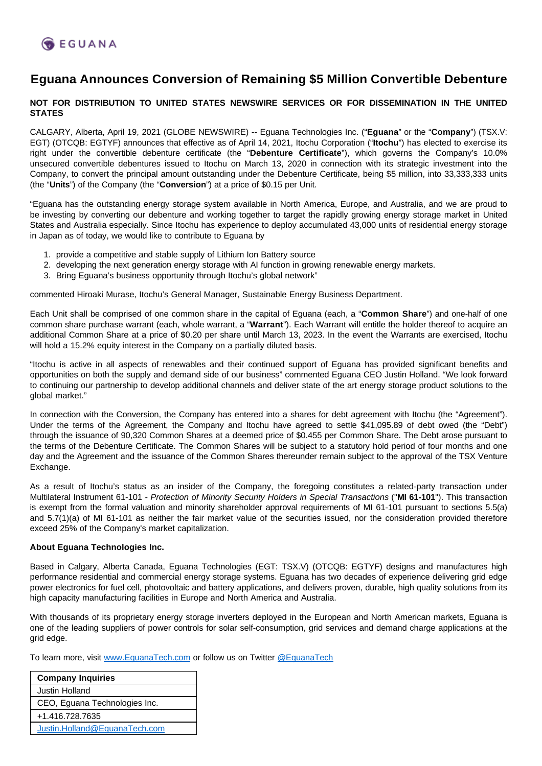

## **Eguana Announces Conversion of Remaining \$5 Million Convertible Debenture**

## **NOT FOR DISTRIBUTION TO UNITED STATES NEWSWIRE SERVICES OR FOR DISSEMINATION IN THE UNITED STATES**

CALGARY, Alberta, April 19, 2021 (GLOBE NEWSWIRE) -- Eguana Technologies Inc. ("**Eguana**" or the "**Company**") (TSX.V: EGT) (OTCQB: EGTYF) announces that effective as of April 14, 2021, Itochu Corporation ("**Itochu**") has elected to exercise its right under the convertible debenture certificate (the "**Debenture Certificate**"), which governs the Company's 10.0% unsecured convertible debentures issued to Itochu on March 13, 2020 in connection with its strategic investment into the Company, to convert the principal amount outstanding under the Debenture Certificate, being \$5 million, into 33,333,333 units (the "**Units**") of the Company (the "**Conversion**") at a price of \$0.15 per Unit.

"Eguana has the outstanding energy storage system available in North America, Europe, and Australia, and we are proud to be investing by converting our debenture and working together to target the rapidly growing energy storage market in United States and Australia especially. Since Itochu has experience to deploy accumulated 43,000 units of residential energy storage in Japan as of today, we would like to contribute to Eguana by

- 1. provide a competitive and stable supply of Lithium Ion Battery source
- 2. developing the next generation energy storage with AI function in growing renewable energy markets.
- 3. Bring Eguana's business opportunity through Itochu's global network"

commented Hiroaki Murase, Itochu's General Manager, Sustainable Energy Business Department.

Each Unit shall be comprised of one common share in the capital of Eguana (each, a "**Common Share**") and one-half of one common share purchase warrant (each, whole warrant, a "**Warrant**"). Each Warrant will entitle the holder thereof to acquire an additional Common Share at a price of \$0.20 per share until March 13, 2023. In the event the Warrants are exercised, Itochu will hold a 15.2% equity interest in the Company on a partially diluted basis.

"Itochu is active in all aspects of renewables and their continued support of Eguana has provided significant benefits and opportunities on both the supply and demand side of our business" commented Eguana CEO Justin Holland. "We look forward to continuing our partnership to develop additional channels and deliver state of the art energy storage product solutions to the global market."

In connection with the Conversion, the Company has entered into a shares for debt agreement with Itochu (the "Agreement"). Under the terms of the Agreement, the Company and Itochu have agreed to settle \$41,095.89 of debt owed (the "Debt") through the issuance of 90,320 Common Shares at a deemed price of \$0.455 per Common Share. The Debt arose pursuant to the terms of the Debenture Certificate. The Common Shares will be subject to a statutory hold period of four months and one day and the Agreement and the issuance of the Common Shares thereunder remain subject to the approval of the TSX Venture Exchange.

As a result of Itochu's status as an insider of the Company, the foregoing constitutes a related-party transaction under Multilateral Instrument 61-101 - Protection of Minority Security Holders in Special Transactions ("**MI 61-101**"). This transaction is exempt from the formal valuation and minority shareholder approval requirements of MI 61-101 pursuant to sections 5.5(a) and 5.7(1)(a) of MI 61-101 as neither the fair market value of the securities issued, nor the consideration provided therefore exceed 25% of the Company's market capitalization.

## **About Eguana Technologies Inc.**

Based in Calgary, Alberta Canada, Eguana Technologies (EGT: TSX.V) (OTCQB: EGTYF) designs and manufactures high performance residential and commercial energy storage systems. Eguana has two decades of experience delivering grid edge power electronics for fuel cell, photovoltaic and battery applications, and delivers proven, durable, high quality solutions from its high capacity manufacturing facilities in Europe and North America and Australia.

With thousands of its proprietary energy storage inverters deployed in the European and North American markets, Eguana is one of the leading suppliers of power controls for solar self-consumption, grid services and demand charge applications at the grid edge.

To learn more, visit [www.EguanaTech.com](http://www.eguanatech.com/) or follow us on Twitter [@EguanaTech](https://twitter.com/EguanaTech)

| <b>Company Inquiries</b>      |
|-------------------------------|
| Justin Holland                |
| CEO, Eguana Technologies Inc. |
| +1.416.728.7635               |
| Justin.Holland@EquanaTech.com |